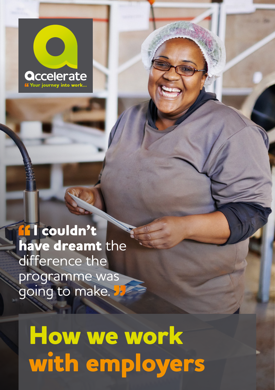

**If I couldn't have dreamt** the difference the programme was going to make. **V** 

**How we work with employers**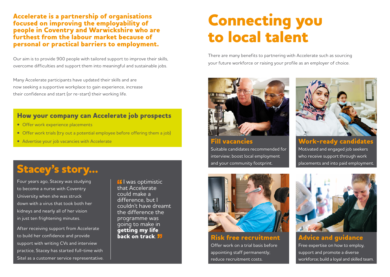**Accelerate is a partnership of organisations focused on improving the employability of people in Coventry and Warwickshire who are furthest from the labour market because of personal or practical barriers to employment.** 

Our aim is to provide 900 people with tailored support to improve their skills, overcome difficulties and support them into meaningful and sustainable jobs.

Many Accelerate participants have updated their skills and are now seeking a supportive workplace to gain experience, increase their confidence and start (or re-start) their working life.

#### **How your company can Accelerate job prospects**

- Offer work experience placements
- Offer work trials (try out a potential employee before offering them a job)
- Advertise your job vacancies with Accelerate

### **Stacey's story...**

Four years ago, Stacey was studying to become a nurse with Coventry University when she was struck down with a virus that took both her kidneys and nearly all of her vision in just ten frightening minutes.

After receiving support from Accelerate to build her confidence and provide support with writing CVs and interview practice, Stacey has started full-time with Sitel as a customer service representative. **If** I was optimistic that Accelerate could make a difference, but I couldn't have dreamt the difference the programme was going to make in **getting my life back on track**.

## **Connecting you to local talent**

There are many benefits to partnering with Accelerate such as sourcing your future workforce or raising your profile as an employer of choice.



**Fill vacancies** Suitable candidates recommended for interview; boost local employment and your community footprint.



**Work-ready candidates** Motivated and engaged job seekers who receive support through work placements and into paid employment.



**Risk free recruitment** Offer work on a trial basis before appointing staff permanently; reduce recruitment costs.



**Advice and guidance** Free expertise on how to employ, support and promote a diverse workforce; build a loyal and skilled team.